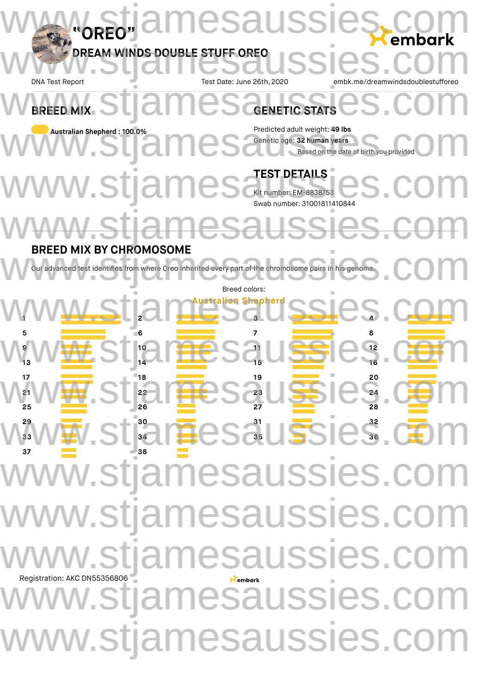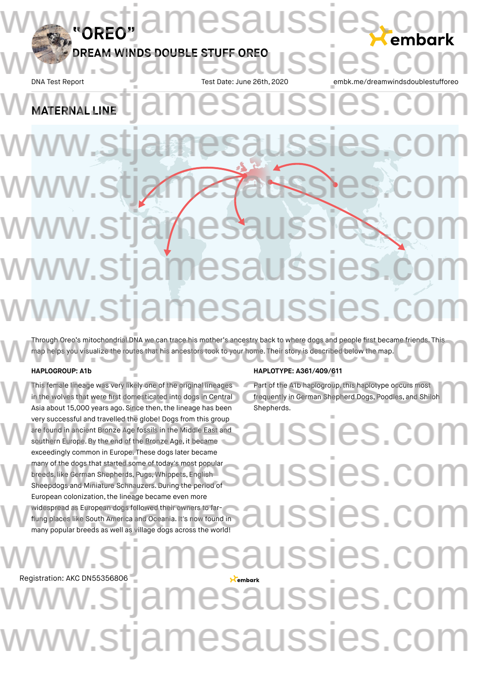DNA Test Report Test Date: June 26th, 2020 embk.me/dreamwindsdoublestuffored

# **MATERNAL LINE** WATERNAL LINE COMPANY OF SAUSSES. COMP www.stjamesaussies.com www.stjamesasses.com www.stjamesaussies.com w.stjamesauss v.stiamesaussies

Through Oreo's mitochondrial DNA we can trace his mother's ancestry back to where dogs and people first became friends. This map helps you visualize the routes that his ancestors took to your home. Their story is described below the map. Through Oreo's mitochondrial DNA we can trace his mother's ancestry back to where dogs and people first became friends. This<br>map helps you visualize the routes that his ancestors took to your home. Their story is described

#### **HAPLOGROUP: A1b**

Registration: AKC DN55356806

This female lineage was very likely one of the original lineages in the wolves that were first domesticated into dogs in Central Asia about 15,000 years ago. Since then, the lineage has been very successful and travelled the globe! Dogs from this group are found in ancient Bronze Age fossils in the Middle East and southern Europe.By the end of the Bronze Age, it became exceedingly common in Europe. These dogs later became many of the dogs that started some of today's most popular breeds, like German Shepherds, Pugs, Whippets, English Sheepdogs and Miniature Schnauzers. During the period of European colonization, the lineage became even more widespread as European dogs followed their owners to farflung places like South America and Oceania. It's now found in many popular breeds as well as village dogs across the world! HAPLUTYPE: A361/409/611<br>This female lineage was very likely one of the original lineages Part of the A1b haplogroup, this haplotype occurs most<br>in the wolves that were first domesticated into dogs in Central frequently in

### **HAPLOTYPE: A361/409/611**

Part of the A1b haplogroup, this haplotype occurs most frequently in German Shepherd Dogs, Poodles, and Shiloh Shepherds.

SSIES.CO SSIES.C SSIES.CO SSIES 1esaussies.c v.stjamesaussies.com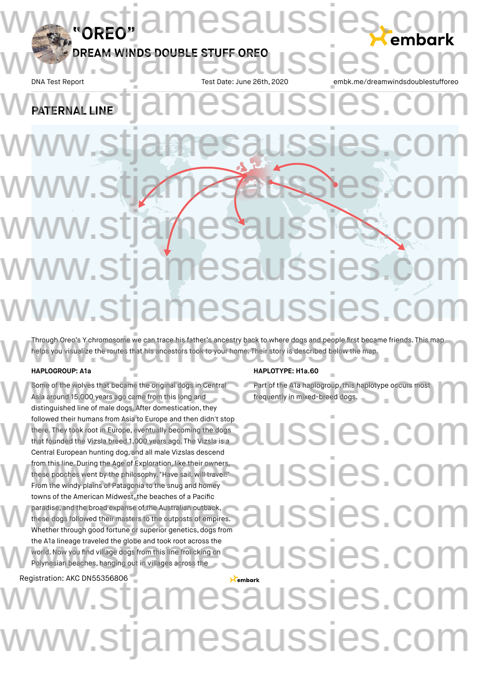DNA Test Report Test Date: June 26th, 2020 embk.me/dreamwindsdoublestuffored

# **PATERNAL LINE** PATERNAL LINE COMPATERNAL LINE www.stjamesaussies.com www.stjamesasses.com www.stjamesaussies.com w.stjamesaussies v.stiamesaussies.

Through Oreo's Y chromosome we can trace his father's ancestry back to where dogs and people first became friends. This map helps you visualize the routes that his ancestors took to your home. Their story is described below the map. Through Oreo's Y chromosome we can trace his father's ancestry back to where dogs and people first became friends. This map<br>helps you visualize the routes that his ancestors took to your home. Their story is described belo

#### **HAPLOGROUP: A1a**

Some of the wolves that became the original dogs in Central Asia around 15,000 years ago came from this long and distinguished line of male dogs. After domestication, they followed their humans from Asia to Europe and then didn't stop there. They took root in Europe, eventually becoming the dogs that founded the Vizsla breed 1,000 years ago. The Vizsla is a Central European hunting dog, and all male Vizslas descend from this line. During the Age of Exploration, like their owners, these pooches went by the philosophy,"Have sail, will travel!" From the windy plains of Patagonia to the snug and homey towns of the American Midwest, the beaches of a Pacific paradise, and the broad expanse of the Australian outback, these dogs followed their masters to the outposts of empires. Whether through good fortune or superior genetics, dogs from the A1a lineage traveled the globe and took root across the world. Now you find village dogs from this line frolicking on Polynesian beaches, hanging out in villages across the HAPLUTYPE: HTA.60<br>Some of the wolves that became the original dogs in Central Part of the A1a haplogroup, this haplotype occurs most<br>Asia around 15,000 years ago came from this long and frequently in mixed-breed dogs.<br>dist

Registration: AKC DN55356806

#### **HAPLOTYPE: H1a.60**

Part of the A1a haplogroup, this haplotype occurs most frequently in mixed-breed dogs.

**USSIES.CO** SSIES.CO JSSIES.CO Saussies.c esaussies.c www.stjamesaussies.com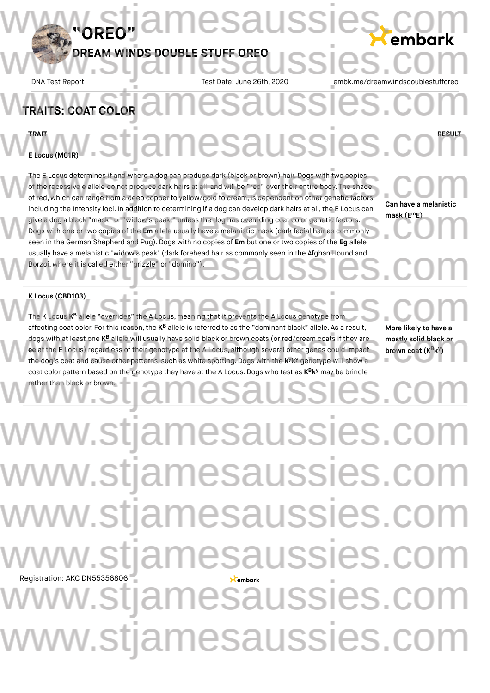DNA Test Report Test Date: June 26th, 2020 embk.me/dreamwindsdoublestuffored

# **TRAITS: COAT COLOR**

# **TRAIT RESULT** WELGGIR/LIST STJAMESAUSSIES.COM

esaussies

**E Locus (MC1R)**

The E Locus determines if and where a dog can produce dark (black or brown) hair. Dogs with two copies of the recessive **e** allele do not produce dark hairs at all, and will be "red" over their entire body. The shade of red, which can range from a deep copper to yellow/gold to cream, is dependent on other genetic factors including the Intensity loci. In addition to determining if a dog can develop dark hairs at all, the E Locus can give a dog a black "mask" or "widow's peak," unless the dog has overriding coat color genetic factors. Dogs with one or two copies of the **Em** allele usually have a melanistic mask (dark facial hair as commonly including the Intensity loci. In addition to determining if a dog can develop dark hairs at all, the E Locus can<br>give a dog a black "mask" or "widow's peak," unless the dog has overriding coat color genetic factors.<br>Dogs w usually have a melanistic "widow's peak" (dark forehead hair as commonly seen in the Afghan Hound and<br>Borzoi, where it is called either "grizzle" or "domino"). Borzoi, where it is called either "grizzle" or "domino"). The E Locus determines if and where a dog can produce dark (black or brown) hair. Dogs with two copies<br>of the recessive e allele do not produce dark hairs at all, and will be "red" over their entire body. The shade<br>of red,

**Can have a melanistic mask (E E) m**

### **K Locus (CBD103)**

The K Locus K<sup>B</sup> allele "overrides" the A Locus, meaning that it prevents the A Locus genotype from affecting coat color. For this reason, the K<sup>B</sup> allele is referred to as the "dominant black" allele. As a result, dogs with at least one KB allele will usually have solid black or brown coats (or red/cream coats if they are **ee** at the E Locus) regardless of their genotype at the A Locus, although several other genes could impact the dog's coat and cause other patterns, such as white spotting. Dogs with the **k k** genotype will show a **y y** rather than black or brown. **K Locus (CBD103)**<br>The K Locus K<sup>B</sup> allele "overrides" the A Locus, meaning that it prevents the A Locus genotype from<br>affecting coat color For this reason, the K<sup>B</sup> allele is referred to as the "dominant black" allele. A dogs with at least one  $K^B$  allele will usually have solid black or brown coats (or red/cream coats if they are<br>e at the E Locus) regardless of their genotype at the A Locus, although several other genes could impact<br>the

**More likely to have a mostly solid black or brown coat**  $(K^B K^y)$ 

# Registration: AKC DN55356806 coat color pattern based on the genotype they have at the A Locus. Dogs who test as  $K^Bk^y$  may be brindle<br> **B y** and the particle of the Material black or brown. ww.stjamesaussies.co w.stjamesaussies.com www.stjamesaussies.com w.stiamesaussies.co v.stjamesaussies.co www.stjamesaussies.com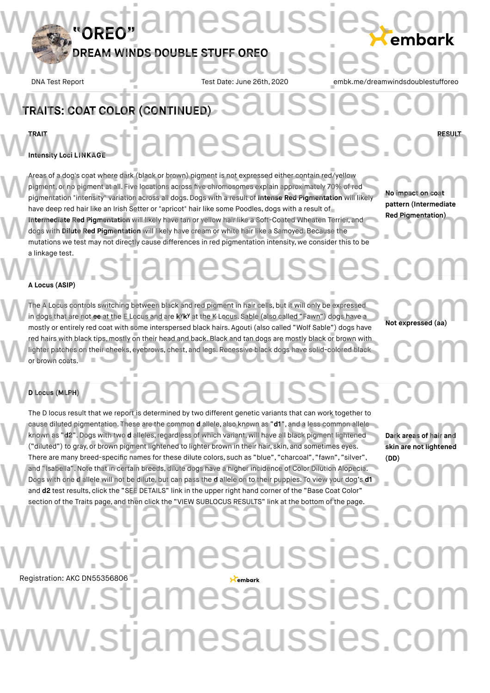DNA Test Report Test Date: June 26th, 2020 embk.me/dreamwindsdoublestufforeougle

# TRAITS: COAT COLOR (CONTINUED)

### **TRAIT RESULT Intensity Loci LINKAGE** Www.www.stjamesaussies.com

Areas of a dog's coat where dark (black or brown) pigment is not expressed either contain red/yellow pigment, or no pigment at all. Five locations across five chromosomes explain approximately 70% of red Areas of a dog's coat where dark (black or brown) pigment is not expressed either contain red/yellow<br>pigment, or no pigment at all. Five locations across five chromosomes explain approximately 70% of red<br>pigmentation "inte have deep red hair like an Irish Setter or "apricot" hair like some Poodles, dogs with a result of **Intermediate Red Pigmentation** will likely have tan or yellow hair like a Soft-Coated Wheaten Terrier, and dogs with **Dilute Red Pigmentation** will likely have cream or white hair like a Samoyed. Because the have deep red hair like an Irish Setter or "apricot" hair like some Poodles, dogs with a result of<br>
Intermediate Red Pigmentation will likely have tan or yellow hair like a Soft-Coated Wheaten Terrier, and<br>
dogs with Dilut

**No impact on coat pattern (Intermediate Red Pigmentation)**

a linkage test.

# **esauss**

**A Locus (ASIP)**

**D Locus (MLPH)**

The A Locus controls switching between black and red pigment in hair cells, but it will only be expressed in dogs that are not ee at the E Locus and are k<sup>y</sup>k<sup>y</sup> at the K Locus. Sable (also called "Fawn") dogs have a mostly or entirely red coat with some interspersed black hairs. Agouti (also called "Wolf Sable") dogs have red hairs with black tips, mostly on their head and back.Black and tan dogs are mostly black or brown with lighter patches on their cheeks, eyebrows, chest, and legs. Recessive black dogs have solid-colored black or brown coats. The A Locus controls switching between black and red pigment in hair cells, but it will only be expressed<br>in dogs that are not ee at the E Locus and are k<sup>y</sup>k<sup>y</sup> at the K Locus. Sable (also called "Fawn") dogs have a<br>mostl red hairs with black tips, mostly on their head and back. Black and tan dogs are mostly black or brown with<br>lighter patches on their cheeks, eyebrows, chest, and legs. Recessive black dogs have solid-colored black<br>or brown

**Not expressed (aa)**

The D locus result that we report is determined by two different genetic variants that can work together to WWW.stjamesaussies.com

cause diluted pigmentation. These are the common **d** allele, also known as "**d1**", and a less common allele known as "**d2**".Dogs with two **d** alleles,regardless of which variant, will have all black pigment lightened ("diluted") to gray, or brown pigment lightened to lighter brown in their hair, skin, and sometimes eyes. There are many breed-specific names for these dilute colors, such as "blue", "charcoal", "fawn", "silver", and "Isabella".Note that in certain breeds, dilute dogs have a higher incidence of Color Dilution Alopecia. Dogs with one **d** allele will not be dilute, but can pass the **d** allele on to their puppies. To view your dog's **d1** and **d2** test results, click the "SEE DETAILS" link in the upper right hand corner of the "Base Coat Color" section of the Traits page, and then click the "VIEW SUBLOCUS RESULTS" link at the bottom of the page. The D locus result that we report is determined by two different genetic variants that can work together to<br>cause diluted pigmentation. These are the common **d** allele, also known as "**d1**", and a less common allele<br>known There are many breed-specific names for these dilute colors, such as "blue", "charcoal", "fawn", "silver", (DD)<br>and "Isabella". Note that in certain breeds, dilute dogs have a higher incidence of Color Dilution Alopecia.<br>D

**Dark areas of hair and skin are not lightened (DD)**

# Registration: AKC DN55356806 1esaussies.c stjamesaussies.com w.stjamesaussies.com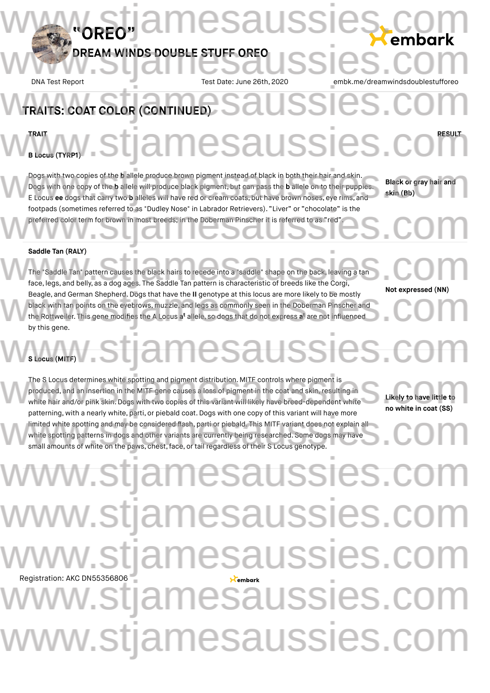DNA Test Report Test Date: June 26th, 2020 embk.me/dreamwindsdoublestuffored

# TRAITS: COAT COLOR (CONTINUED) **TRAIT RESULT B Locus (TYRP1)** WELGEREN, Stjamesaussies.com

Dogs with two copies of the **b** allele produce brown pigment instead of black in both their hair and skin. Dogs with one copy of the **b** allele will produce black pigment, but can pass the **b** allele on to their puppies. E Locus **ee** dogs that carry two **b** alleles will have red or cream coats, but have brown noses, eye rims, and footpads (sometimes referred to as "Dudley Nose" in Labrador Retrievers). "Liver" or "chocolate" is the preferred color term for brown in most breeds; in the Doberman Pinscher it is referred to as "red". Dogs with two copies of the b allele produce brown pigment instead of black in both their hair and skin.<br>Dogs with one copy of the b allele will produce black pigment, but can pass the b allele on to their puppies.<br>E Locus footpads (sometimes referred to as "Dudley Nose" in Labrador Retrievers). "Liver" or "chocolate" is the<br>preferred color term for brown in most breeds; in the Doberman Pinscher it is referred to as "red".

**Black or gray hair and skin (Bb)**

### **Saddle Tan (RALY)**

The "Saddle Tan" pattern causes the black hairs to recede into a "saddle" shape on the back, leaving a tan Saddle Tan (RALY)<br>The "Saddle Tan" pattern causes the black hairs to recede into a "saddle" shape on the back, leaving a tan<br>face, legs, and belly, as a dog ages. The Saddle Tan pattern is characteristic of breeds like the Beagle, and German Shepherd.Dogs that have the **II** genotype at this locus are more likely to be mostly black with tan points on the eyebrows, muzzle, and legs as commonly seen in the Doberman Pinscher and the Rottweiler. This gene modifies the A Locus a<sup>t</sup> allele, so dogs that do not express a<sup>t</sup> are not influenced by this gene. Beagle, and German Shepherd. Dogs that have the II genotype at this locus are more likely to be mostly<br>black with tan points on the eyebrows, muzzle, and legs as commonly seen in the Doberman Pinscher and<br>the Rottweiler. T

# **Not expressed (NN)**

## **S Locus (MITF)** tiamesaussies.co

The S Locus determines white spotting and pigment distribution. MITF controls where pigment is<br>
produced, and an insertion in the MITF gene causes a loss of pigment in the coat and skin, resulting in<br>
white hair and/or pin produced, and an insertion in the MITF gene causes a loss of pigment in the coat and skin, resulting in white hair and/or pink skin.Dogs with two copies of this variant will likely have breed-dependent white patterning, with a nearly white, parti, or piebald coat. Dogs with one copy of this variant will have more limited white spotting and may be considered flash, parti or piebald. This MITF variant does not explain all white spotting patterns in dogs and other variants are currently being researched. Some dogs may have small amounts of white on the paws, chest, face, or tail regardless of their S Locus genotype. patterning, with a nearly white, parti, or piebald coat. Dogs with one copy of this variant will have more<br>limited white spotting and may be considered flash, parti or piebald. This MITF variant does not explain all<br>white

**Likely to have little to no white in coat (SS)**

# Registration: AKC DN55356806 w.stjamesaussies.co www.stjamesaussies.co w.stiamesaussies.co v.stjamesaussies.co www.stjamesaussies.com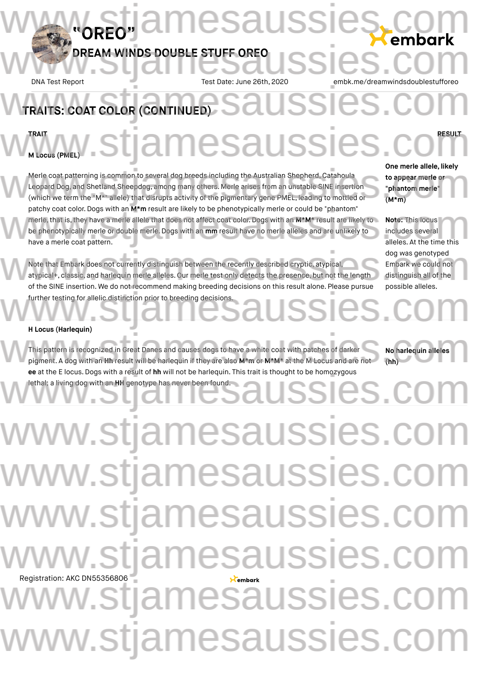DNA Test Report Test Date: June 26th, 2020 embk.me/dreamwindsdoublestuffored

# TRAITS: COAT COLOR (CONTINUED) **TRAIT RESULT** WWW.www.stjamesaussies.com

**M Locus (PMEL)**

Merle coat patterning is common to several dog breeds including the Australian Shepherd, Catahoula Leopard Dog, and Shetland Sheepdog, among many others. Merle arises from an unstable SINE insertion One merle allele, likely<br>Leopard Dog, and Shetland Sheepdog, among many others. Merle arises from an unstable SINE insertion<br>(which we term the "M\*" allele) that disrupts activity of the pigmentary gene PMEL, leading to mo patchy coat color.Dogs with an **M\*m** result are likely to be phenotypically merle or could be "phantom" merle,that is,they have a merle allele that does not affect coat color. Dogs with an **M\*M\*** result are likely to be phenotypically merle or double merle.Dogs with an **mm** result have no merle alleles and are unlikely to have a merle coat pattern. patchy coat color. Dogs with an M\*m result are likely to be phenotypically merle or could be "phantom"<br>merle, that is, they have a merle allele that does not affect coat color. Dogs with an M\*M\* result are likely to<br>be phe

Note that Embark does not currently distinguish between the recently described cryptic, atypical, atypical+, classic, and harlequin merle alleles. Our merle test only detects the presence, but not the length of the SINE insertion. We do not recommend making breeding decisions on this result alone. Please pursue further testing for allelic distinction prior to breeding decisions. dog was genotyped<br>Note that Embark does not currently distinguish between the recently described cryptic, atypical,<br>atypical+, classic, and harlequin merle alleles. Our merle test only detects the presence, but not the len Further testing for allelic distinction prior to breeding decisions.

**One merle allele, likely to appear merle or "phantom merle" (M\*m)**

**Note:** This locus includes several alleles. At the time this dog was genotyped Embark we could not distinguish all of the possible alleles.

#### **H Locus (Harlequin)**

This pattern is recognized in Great Danes and causes dogs to have a white coat with patches of darker **FIGCUS (Harlequin)**<br>This pattern is recognized in Great Danes and causes dogs to have a white coat with patches of darker **No. No. No. No. No. 1999**<br>pigment. A dog with an **Hh** result will be harlequin if they are also **M ee** at the E locus.Dogs with a result of **hh** will not be harlequin. This trait is thought to be homozygous lethal; a living dog with an **HH** genotype has never been found. ee at the E locus. Dogs with a result of hh will not be harlequin. This trait is thought to be homozygous<br>lethal; a living dog with an HH genotype has never been found.

**No harlequin alleles (hh)**

Registration: AKC DN55356806 www.stjamesaussies.co w.stjamesaussies.co www.stjamesaussies.com w.stiamesaussies.co stjamesaussies.com/ w.stjamesaussies.com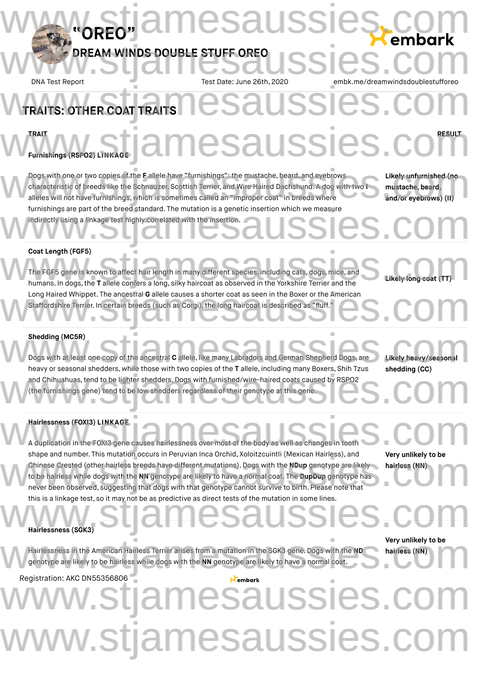**esaussies** 

DNA Test Report Test Date: June 26th, 2020 embk.me/dreamwindsdoublestuffored

### **TRAITS: OTHER COAT TRAITS**

**TRAIT RESULT**

## **Furnishings (RSPO2) LINKAGE** WERAIT WAS SIGS.COM

Dogs with one or two copies of the **F** allele have "furnishings": the mustache, beard, and eyebrows characteristic of breeds like the Schnauzer, Scottish Terrier, and Wire Haired Dachshund. A dog with two **I** alleles will not have furnishings, which is sometimes called an "improper coat" in breeds where furnishings are part of the breed standard. The mutation is a genetic insertion which we measure<br>indirectly using a linkage test highly correlated with the insertion. indirectly using a linkage test highly correlated with the insertion. Dogs with one or two copies of the Fallele have "furnishings": the mustache, beard, and eyebrows **Likely unfurnished (no**<br>characteristic of breeds like the Schnauzer, Scottish Terrier, and Wire Haired Dachshund. A dog with

**Likely unfurnished (no mustache, beard, and/or eyebrows) (II)**

#### **Coat Length (FGF5)**

The FGF5 gene is known to affect hair length in many different species, including cats, dogs, mice, and **Coat Length (FGF5)**<br>The FGF5 gene is known to affect hair length in many different species, including cats, dogs, mice, and<br>humans. In dogs, the **T** allele confers a long, silky haircoat as observed in the Yorkshire Terri Long Haired Whippet. The ancestral **G** allele causes a shorter coat as seen in the Boxer or the American<br>Staffordshire Terrier. In certain breeds (such as Corgi), the long haircoat is described as "fluff." Staffordshire Terrier. In certain breeds (such as Corgi), the long haircoat is described as "fluff."

**Likely** long coat (T

#### **Shedding (MC5R)**

Dogs with at least one copy of the ancestral **C** allele, like many Labradors and German Shepherd Dogs, are heavy or seasonal shedders, while those with two copies of the **T** allele, including many Boxers, Shih Tzus and Chihuahuas, tend to be lighter shedders. Dogs with furnished/wire-haired coats caused by RSPO2 (the furnishings gene) tend to be low shedders regardless of their genotype at this gene. (the furnishings gene) tend to be low shedders regardless of their genotype at this gene. Shedding (MC5R)<br>Dogs with at least one copy of the ancestral C allele, like many Labradors and German Shepherd Dogs, are Likely heavy/seasonal<br>heavy or seasonal shedders while those with two copies of the T allele includin

**Likely heavy/seasonal shedding (CC)**

#### **Hairlessness (FOXI3) LINKAGE**

A duplication in the FOXI3 gene causes hairlessness over most of the body as well as changes in tooth

shape and number. This mutation occurs in Peruvian Inca Orchid, Xoloitzcuintli (Mexican Hairless), and Chinese Crested (other hairless breeds have different mutations). Dogs with the **NDup** genotype are likely to be hairless while dogs with the **NN** genotype are likely to have a normal coat. The **DupDup** genotype has never been observed, suggesting that dogs with that genotype cannot survive to birth. Please note that this is a linkage test, so it may not be as predictive as direct tests of the mutation in some lines.<br>
Hairlessness (SGK3) shape and number. This mutation occurs in Peruvian Inca Orchid, Xoloitzcuintli (Mexican Hairless), and Very unlikely to be<br>Chinese Crested (other hairless breeds have different mutations). Dogs with the NDup genotype are l

**Very unlikely to be hairless (NN)**

#### **Hairlessness (SGK3)**

Hairlessness in the American Hairless Terrier arises from a mutation in the SGK3 gene. Dogs with the **ND** genotype are likely to be hairless while dogs with the **NN** genotype are likely to have a normal coat. Very unlikely to be<br>genotype are likely to be hairless while dogs with the NN genotype are likely to have a normal coat.<br>The comparison of the NN genotype are likely to have a normal coat.

**Very unlikely to be hairless (NN)**

Registration: AKC DN55356806

*ISTIAMESAUSSIES.COM* www.stjamesaussies.com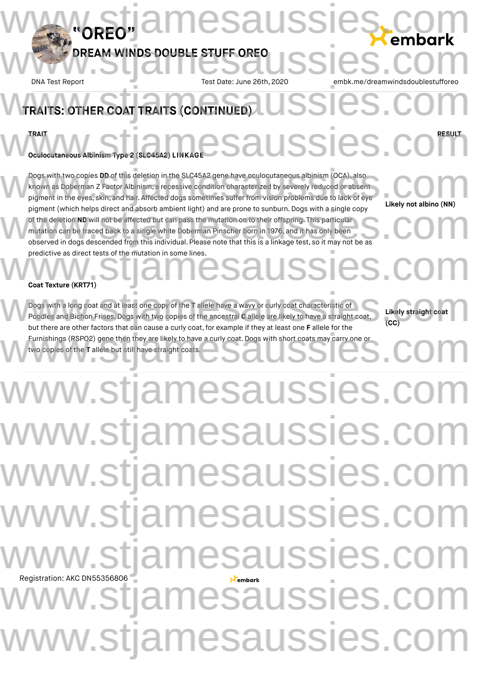## **DREAM WINDS DOUBLE STUFF OREO** DREAM WINDS DOUBLE STUFF OREO USSIES.COM

esaussi

DNA Test Report Test Date: June 26th, 2020 embk.me/dreamwindsdoublestuffored

# **TRAITS: OTHER COAT TRAITS (CONTINUED)**

**TRAIT RESULT**

**Oculocutaneous Albinism Type 2 (SLC45A2) LI** WERAIT<br>OCULOCUTATIONS AIBINISM Type 2 (SLO45A2) LINKAGE SAUSSIES.COM

**"OREO"**

Dogs with two copies **DD** of this deletion in the SLC45A2 gene have oculocutaneous albinism (OCA), also known as Doberman Z Factor Albinism, a recessive condition characterized by severely reduced or absent pigment in the eyes, skin, and hair. Affected dogs sometimes suffer from vision problems due to lack of eye pigment (which helps direct and absorb ambient light) and are prone to sunburn. Dogs with a single copy of the deletion **ND** will not be affected but can pass the mutation on to their offspring. This particular mutation can be traced back to a single white Doberman Pinscher born in 1976, and it has only been pigment (which helps direct and absorb ambient light) and are prone to sunburn. Dogs with a single copy<br>of the deletion ND will not be affected but can pass the mutation on to their offspring. This particular<br>mutation can predictive as direct tests of the mutation in some lines. Dogs with two copies DD of this deletion in the SLC45A2 gene have oculocutaneous albinism (OCA), also<br>known as Doberman Z Factor Albinism, a recessive condition characterized by severely reduced or absent<br>pigment in the ey predictive as direct tests of the mutation in some lines.<br>Coat Texture (KRT71)

**Likely not albino (NN)**

**Likely straight coat**

**(CC)**

#### **Coat Texture (KRT71)**

Dogs with a long coat and at least one copy of the **T** allele have a wavy or curly coat characteristic of Poodles and Bichon Frises.Dogs with two copies of the ancestral **C** allele are likely to have a straight coat, but there are other factors that can cause a curly coat,for example if they at least one **F** allele for the Furnishings (RSPO2) gene then they are likely to have a curly coat.Dogs with short coats may carry one or two copies of the **T** allele but still have straight coats. Dogs with a long coat and at least one copy of the T allele have a wavy or curly coat characteristic of<br>Poodles and Bichon Frises. Dogs with two copies of the ancestral C allele are likely to have a straight coat,<br>Nut ther Furnishings (RSPO2) gene then they are likely to have a curly coat. Dogs with short coats may carry one or<br>two copies of the T allele but still have straight coats.

Registration: AKC DN55356806 www.stjamesaussies.co www.stjamesaussies.co ww.stjamesaussies.co www.stjamesaussies.co w.stiamesaussies.co v.stjamesaussies.co w.stjamesaussies.com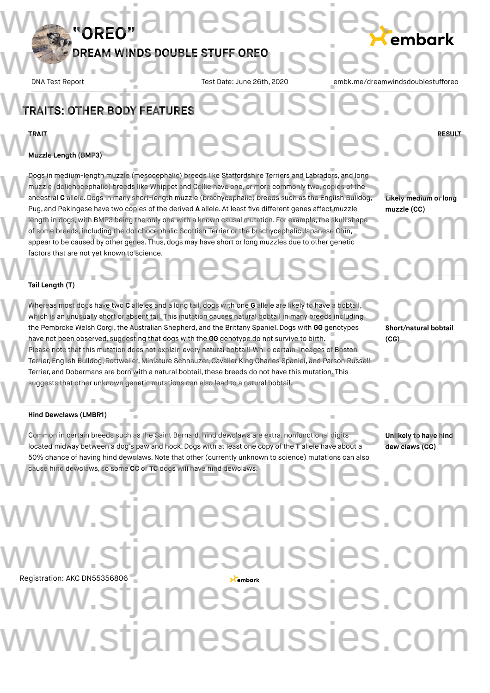DNA Test Report Test Date: June 26th, 2020 embk.me/dreamwindsdoublestufforeougle

# TRAITS: OTHER BODY FEATURES **EXAMPLES AND SUBSCRIPTION**

## **TRAIT RESULT** WWW.ERANG STJAMESAUSSIES.COM

lussies

**Muzzle Length (BMP3)**

Dogs in medium-length muzzle (mesocephalic) breeds like Staffordshire Terriers and Labradors, and long muzzle (dolichocephalic) breeds like Whippet and Collie have one, or more commonly two, copies of the Dogs in medium-length muzzle (mesocephalic) breeds like Staffordshire Terriers and Labradors, and long<br>muzzle (dolichocephalic) breeds like Whippet and Collie have one, or more commonly two, copies of the<br>ancestral **C** all Pug, and Pekingese have two copies of the derived **A** allele. At least five different genes affect muzzle length in dogs, with BMP3 being the only one with a known causal mutation. For example, the skull shape of some breeds, including the dolichocephalic Scottish Terrier or the brachycephalic Japanese Chin, Pug, and Pekingese have two copies of the derived **A** allele. At least five different genes affect muzzle (CC)<br>length in dogs, with BMP3 being the only one with a known causal mutation. For example, the skull shape<br>of some factors that are not yet known to science.

**Likely medium or long muzzle (CC)**

**Tail Length (T)**

Whereas most dogs have two **C** alleles and a long tail, dogs with one **G** allele are likely to have a bobtail, which is an unusually short or absent tail. This mutation causes natural bobtail in many breeds including the Pembroke Welsh Corgi, the Australian Shepherd, and the Brittany Spaniel. Dogs with GG genotypes have not been observed, suggesting that dogs with the **GG** genotype do not survive to birth. Please note that this mutation does not explain every natural bobtail! While certain lineages of Boston Terrier, English Bulldog,Rottweiler, Miniature Schnauzer, Cavalier King Charles Spaniel, and Parson Russell Terrier, and Dobermans are born with a natural bobtail, these breeds do not have this mutation. This suggests that other unknown genetic mutations can also lead to a natural bobtail. Whereas most dogs have two C alleles and a long tail, dogs with one G allele are likely to have a bobtail,<br>which is an unusually short or absent tail. This mutation causes natural bobtail in many breeds including<br>the Pembr have not been observed, suggesting that dogs with the GG genotype do not survive to birth. (CG)<br>Please note that this mutation does not explain every natural bobtail! While certain lineages of Boston<br>Terrier, English Bulld Terrier, and Dobermans are born with a natural bobtail, these breeds do not have this mutation. This<br>suggests that other unknown genetic mutations can also lead to a natural bobtail.

**Short/natural bobtail (CG)**

**Hind Dewclaws (LMBR1)**

Common in certain breeds such as the Saint Bernard, hind dewclaws are extra, nonfunctional digits located midway between a dog's paw and hock. Dogs with at least one copy of the **T** allele have about a located midway between a dog's paw and hock. Dogs with at least one copy of the **T** allele have about a **located midwa** 50% chance of having hind dewclaws. Note that other (currently unknown to science) mutations can also<br>cause hind dewclaws, so some CC or TC dogs will have hind dewclaws. cause hind dewclaws, so some **CC** or **TC** dogs will have hind dewclaws.

**Unlikely to have hind dew claws (CC)**

# Registration: AKC DN55356806 w.stjamesaussies.co v.stiamesaussies.co stjamesaussies.com www.stjamesaussies.com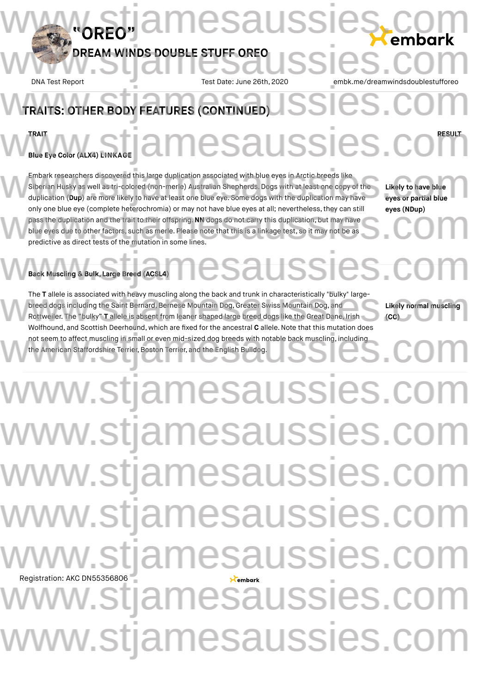## **DREAM WINDS DOUBLE STUFF OREO** DREAM WINDS DOUBLE STUFF OREO USSIES.COM

**"OREO"**

esaussi

DNA Test Report Test Date: June 26th, 2020 embk.me/dreamwindsdoublestuffored

## **TRAITS: OTHER BODY FEATURES (CONTINUED) TRAIT RESULT Blue Eye Color (ALX4) LINKAGE** WEBLE EXE COLOR (ALX4) EINKAGE **COLOR COLOR SESULT**

Embark researchers discovered this large duplication associated with blue eyes in Arctic breeds like Siberian Husky as well as tri-colored (non-merle) Australian Shepherds. Dogs with at least one copy of the duplication (**Dup**) are more likely to have at least one blue eye. Some dogs with the duplication may have only one blue eye (complete heterochromia) or may not have blue eyes at all; nevertheless, they can still pass the duplication and the trait to their offspring.**NN** dogs do not carry this duplication, but may have blue eyes due to other factors, such as merle. Please note that this is a linkage test, so it may not be as predictive as direct tests of the mutation in some lines. Embark researchers discovered this large duplication associated with blue eyes in Arctic breeds like<br>Siberian Husky as well as tri-colored (non-merle) Australian Shepherds. Dogs with at least one copy of the Likely to have only one blue eye (complete heterochromia) or may not have blue eyes at all; nevertheless, they can still eyes (NDup)<br>pass the duplication and the trait to their offspring. NN dogs do not carry this duplication, but may ha

**Likely to have blue eyes or partial blue eyes (NDup)**

## **Back Muscling & Bulk, Large Breed (ACSL4)** W Back Muscling & Bulk, Large Breed (ACSL4) MCSaUSSICS.COM

The **T** allele is associated with heavy muscling along the back and trunk in characteristically "bulky" large-<br>breed dogs including the Saint Bernard, Bernese Mountain Dog, Greater Swiss Mountain Dog, and<br>Rottweiler. The " breed dogs including the Saint Bernard, Bernese Mountain Dog, Greater Swiss Mountain Dog, and Rottweiler. The "bulky" **T** allele is absent from leaner shaped large breed dogs like the Great Dane, Irish Wolfhound, and Scottish Deerhound, which are fixed for the ancestral **C** allele.Note that this mutation does not seem to affect muscling in small or even mid-sized dog breeds with notable back muscling, including the American Staffordshire Terrier, Boston Terrier, and the English Bulldog. www.stribute.com/start.com/start.com/start.com/start.com/start.com/start.com/start.com/start.com/start.com/start.com/start.com/start.com/start.com/start.com/start.com/start.com/start.com/start.com/start.com/start.com/start

**Likely normal muscling (CC)**

# Registration: AKC DN55356806 www.stjamesaussies.co www.stjamesaussies.co ww.stjamesaussies.co www.stjamesaussies.com w.stiamesaussies.co v.stjamesaussies.co w.stjamesaussies.com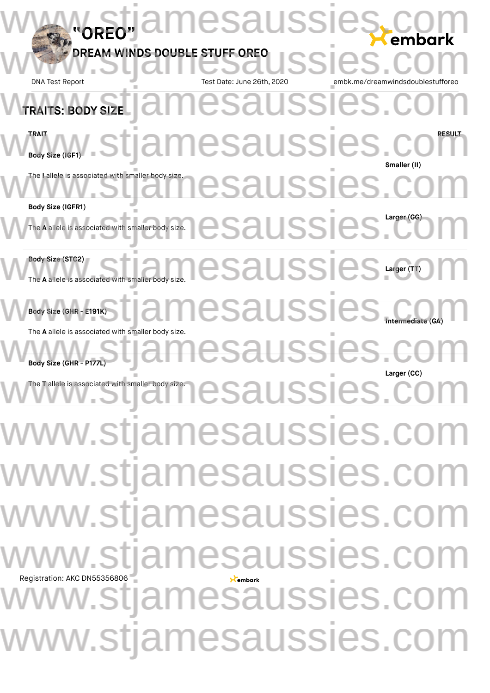| "ORFO"                                                                  | <b>imesaussieş</b><br>embark                                                                                                                                                                                                            |
|-------------------------------------------------------------------------|-----------------------------------------------------------------------------------------------------------------------------------------------------------------------------------------------------------------------------------------|
| DREAM WINDS DOUBLE STUFF OREO<br><b>DNA Test Report</b>                 | <b>SSIES</b><br>Test Date: June 26th, 2020<br>embk.me/dreamwindsdoublestufforeo                                                                                                                                                         |
| TRAITS: BODY SIZE                                                       | amesaussies.c                                                                                                                                                                                                                           |
|                                                                         | <b>Eddy size (IGF1)</b> . Stjamesaussies. CO<br>Smaller (II)                                                                                                                                                                            |
| The I allele is associated with smaller body size.<br>Body Size (IGFR1) | nesaussies,                                                                                                                                                                                                                             |
|                                                                         | The A allele is associated with smaller body size. <b>COSSICS</b>                                                                                                                                                                       |
| Body Size (STC2)<br>The A allele is associated with smaller body size.  | h smaller body size. ICSaUSSICS Larger (TT)                                                                                                                                                                                             |
| The A allele is associated with smaller body size.                      | amesaussies.                                                                                                                                                                                                                            |
| Body Size (GHR - P177L                                                  | esaussies.co<br>Larger (CC)                                                                                                                                                                                                             |
|                                                                         | W <sup>The Tallele</sup> is associated with smaller body size energy energy and uncontrolled by size the second uncontrolled by size and uncontrolled by size the second uncontrolled by size and uncontrolled by size and uncontrolled |
|                                                                         | www.stjamesaussies.com                                                                                                                                                                                                                  |
|                                                                         | www.stjamesaussies.com                                                                                                                                                                                                                  |
|                                                                         | www.stjamesaussies.com                                                                                                                                                                                                                  |
| Registration: AKC DN55356806                                            | www.stjamesaussies.com                                                                                                                                                                                                                  |
|                                                                         | Registration: AKC DN55356806                                                                                                                                                                                                            |
|                                                                         | www.stjamesaussies.com                                                                                                                                                                                                                  |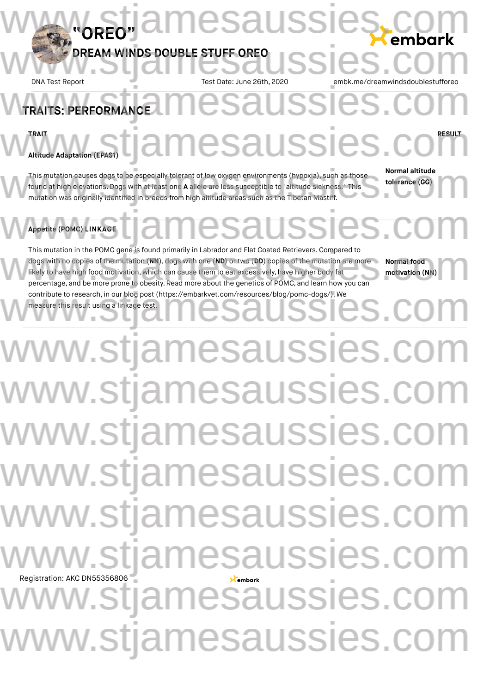DNA Test Report Test Date: June 26th, 2020 embk.me/dreamwindsdoublestuffored

### PERFORMANCE **TRAIT RESULT Altitude Adaptation (EPAS1)** TRAITS: PERFORMANCE WERAIT WARTER STRAINES AUSSIES.COM

This mutation causes dogs to be especially tolerant of low oxygen environments (hypoxia), such as those found at high elevations.Dogs with at least one **A** allele are less susceptible to "altitude sickness." This mutation was originally identified in breeds from high altitude areas such as the Tibetan Mastiff. This mutation causes dogs to be especially tolerant of low oxygen environments (hypoxia), such as those **Normal altitude**<br>
found at high elevations. Dogs with at least one **A** allele are less susceptible to "altitude sickn

**Normal altitude tolerance (GG)**

## **Appetite (POMC) LINKAGE** WAppetite (POMC) LINKAGE TJAMESAUSSIES.COM

This mutation in the POMC gene is found primarily in Labrador and Flat Coated Retrievers.Compared to dogs with no copies of the mutation (**NN**), dogs with one (**ND**) or two (**DD**) copies of the mutation are more likely to have high food motivation, which can cause them to eat excessively, have higher body fat This mutation in the POMC gene is found primarily in Labrador and Flat Coated Retrievers. Compared to<br>dogs with no copies of the mutation (NN), dogs with one (ND) or two (DD) copies of the mutation are more Normal food<br>lik measure this result using a linkage test.

**Normal food motivation (NN)**

# Registration: AKC DN55356806 contribute to research, in our blog post (https://embarkvet.com/resources/blog/pomc-dogs/). We<br>measure this result using a linkage test. www.stjamesaussies.co www.stjamesaussies.com www.stjamesaussies.co ww.stjamesaussies.co ww.stjamesaussies.co ww.stiamesaussies.co v.stjamesaussies.com w.stjamesaussies.com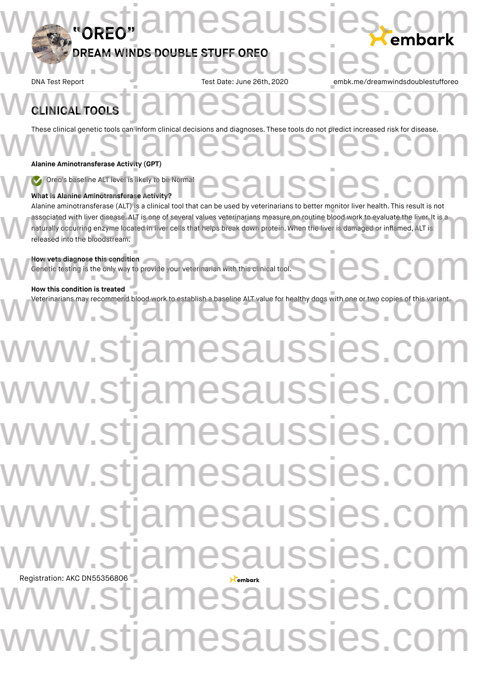9Saussi

DNA Test Report Test Date: June 26th, 2020 embk.me/dreamwindsdoublestuffored

## **CLINICAL TOOLS** CLINICAL TOOLS COMPANY CLINICAL TOOLS

These clinical genetic tools can inform clinical decisions and diagnoses. These tools do not predict increased risk for disease.

#### **Alanine Aminotransferase Activity (GPT)**

Oreo's baseline ALT level is likely to be Normal

### **What is Alanine Aminotransferase Activity?**

Alanine aminotransferase (ALT) is a clinical tool that can be used by veterinarians to better monitor liver health. This result is not associated with liver disease. ALT is one of several values veterinarians measure on routine blood work to evaluate the liver. It is a naturally occurring enzyme located in liver cells that helps break down protein. When the liver is damaged or inflamed, ALT is released into the bloodstream. We Oreo's baseline ALT level is likely to be Normal<br>What is Alanine Aminotransferase Activity?<br>Alanine aminotransferase Activity? Alahine aminotransierase (ALT) is a clinical tool that can be used by veterinarians to better monitor liver nealth. This result is not<br>associated with liver disease. ALT is one of several values veterinarians measure on ro

### **How vets diagnose this condition**

Genetic testing is the only way to provide your veterinarian with this clinical tool. How vets diagnose this condition<br>Genetic testing is the only way to provide your veterinarian with this clinical tool.<br>Notes that the community of the condition of the community of the condition of the condition of the con

### **How this condition is treated**

Veterinarians may recommend blood work to establish a baseline ALT value for healthy dogs with one or two copies of this variant. How this condition is treated<br>Veterinarians may recommend blood work to establish a baseline ALT value for healthy dogs with one or two copies of this variant.

# Registration: AKC DN55356806 www.stjamesaussies.co w.stjamesaussies w.stjamesaussies.co w.stjamesaussies.com v.stjamesaussies.co esaussies 1esaussies. v.stjamesaussies.co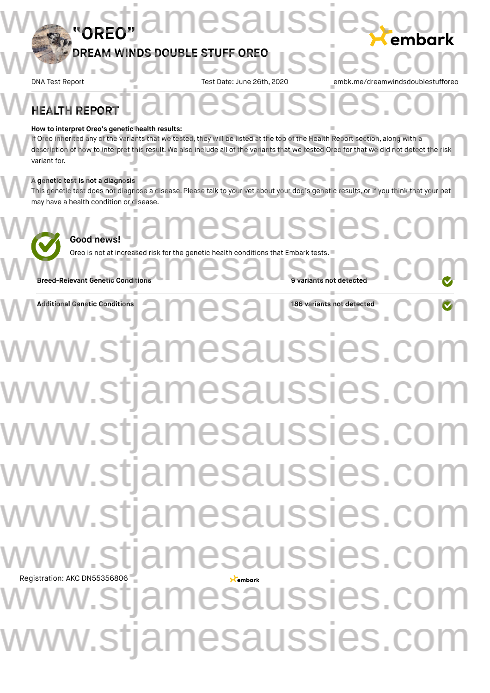## **"OREO" NDS DOUBL** www.stjamesaussies.com DREAM WINDS DOUBLE STUFF OREO USSIES.COM

DNA Test Report Test Date: June 26th, 2020 embk.me/dreamwindsdoublestuffored

## **HEALTH REPORT** WHEALTH REPORT COMMUNIST COMMUNIST COMMUNIST COMMUNIST COMMUNIST COMMUNIST COMMUNIST COMMUNIST COMMUNIST COMMUNIST COMMUNIST COMMUNIST COMMUNIST COMMUNIST COMMUNIST COMMUNIST COMMUNIST COMMUNIST COMMUNIST COMMUNIST COMMUNI

#### **How to interpret Oreo's genetic health results:**

If Oreo inherited any of the variants that we tested, they will be listed at the top of the Health Report section, along with a description of how to interpret this result. We also include all of the variants that we tested Oreo for that we did not detect the risk variant for. How to interpret Oreo's genetic health results:<br>If Oreo inherited any of the variants that we tested, they will be listed at the top of the Health Report section, along with a<br>description of how to interpret this result. W

### **A genetic test is not a diagnosis**

This genetic test does not diagnose a disease. Please talk to your vet about your dog's genetic results, or if you think that your pet may have a health condition or disease. A genetic test is not a diagnosis<br>This genetic test does not diagnose a disease. Please talk to your vet about your dog's genetic results, or if you think that your pet<br>may have a health condition or disease.

# **Good news!** Oreo is not at increased risk for the genetic health conditions that Embark tests.<br>Breed-Relevant Genetic Conditions JSSIes.

**Breed-Relevant Genetic Conditions** 

**Additional Genetic Conditions 186 variants not detected** Registration: AKC DN55356806 W<sup>W</sup>Additional Genetic Conditions<br>
and COP www.stjamesaussies.c ww.stjamesaussies w.stjamesaussies.com w.stjamesaussies.com w.stjamesaussies.co esaussies stjamesaussies. v.stjamesaussies.com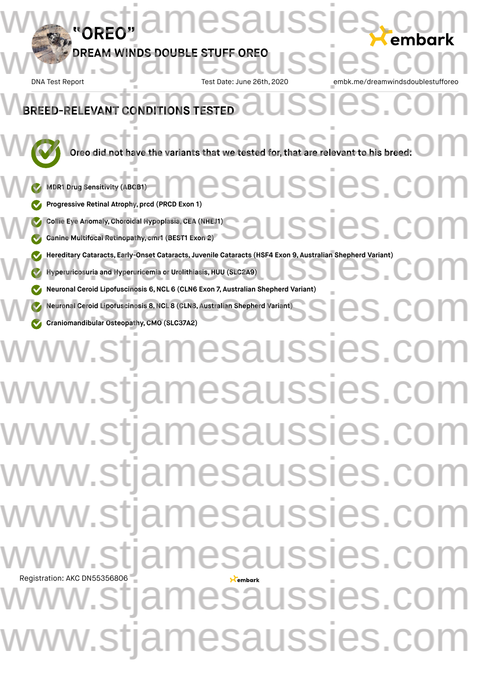# **"OREO" NDS DOUBLE STUFF OREO** DNA Test Report Test Date: June 26th, 2020 **Oreo** did not have the variants that we tested for, that are relevant to his breed:  $\bigcirc$ **MDR1 Drug Sensitivity (ABCB1) Progressive Retinal Atrophy, prcd (PRCD Exon 1) Collie Eye Anomaly,Choroidal Hypoplasia,CEA (NHEJ1) Canine Multifocal Retinopathy, cmr1 (BEST1 Exon 2) Hereditary Cataracts, Early-Onset Cataracts, Juvenile Cataracts (HSF4 Exon 9, Australian Shepherd Variant)<br>
We Hyperuricosuria and Hyperuricemia or Urolithiasis, HUU (SLC2A9)<br>
We have also the straight of the straight of Hyperuricosuria and Hyperuricemia or Urolithiasis, HUU (SLC2A9) Neuronal Ceroid Lipofuscinosis 6,NCL 6 (CLN6 Exon 7, Australian Shepherd Variant) Neuronal Ceroid Lipofuscinosis 8,NCL 8 (CLN8, Australian Shepherd Variant) Craniomandibular Osteopathy,CMO (SLC37A2)** Registration: AKC DN55356806 **EVANT CONDITIONS TESTED** esaussi DREAM WINDS DOUBLE STUFF OREO USSIES.COM BREED-RELEVANT CONDITIONS TESTED ussies.co SSIeS. Neuronal Ceroid Liporuscinosis 6, NCL 8 (CLN6 EXON 7, Australian Shepherd Variant)<br>Commitment Ceroid Liporuscinosis 8, NCL 8 (CLN8, Australian Shepherd Variant)<br>Commitment ibular Osteopathy, CMO (SLC37A2) www.stjamesaussies.co www.stjamesaussies.co www.stjamesaussies.co ww.stjamesaussies.co ww.stjamesaussies.co v.stjamesaussies.co v.stjamesaussies.co w.stjamesaussies.com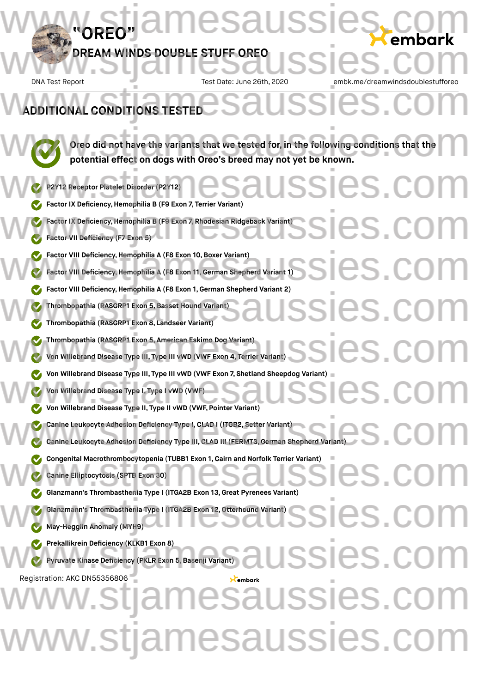## **DREAM WINDS DOUBLE STUFF OREO** DREAM WINDS DOUBLE STUFF OREO USSIES.COM

**"OREO"**

DNA Test Report Test Date: June 26th, 2020 embk.me/dreamwindsdoublestuffored

esaussies.com

**ADDITIONAL CONDITIONS TESTED** 

**Oreo did not have the variants that we tested for, in the following conditions that the potential effect on dogs with Oreo's breed may not yet be known.** Oreo did not have the variants that we tested for, in the following conditions that the potential effect on dogs with Oreo's breed may not yet be known.

**P2Y12 Receptor Platelet Disorder (P2Y12) Factor IX Deficiency,Hemophilia B (F9 Exon 7, Terrier Variant) Factor IX Deficiency,Hemophilia B (F9 Exon 7, Rhodesian Ridgeback Variant) Factor VII Deficiency (F7 Exon 5) Factor VIII Deficiency, Hemophilia A (F8 Exon 10, Boxer Variant) Factor VIII Deficiency,Hemophilia A (F8 Exon 11,German Shepherd Variant 1) Factor VIII Deficiency,Hemophilia A (F8 Exon 1, German Shepherd Variant 2) Thrombopathia (RASGRP1 Exon 5,Basset Hound Variant) Thrombopathia (RASGRP1 Exon 8, Landseer Variant) Thrombopathia (RASGRP1 Exon 5, American Eskimo Dog Variant) Von Willebrand Disease Type III, Type III vWD (VWF Exon 4, Terrier Variant) Von Willebrand Disease Type III, Type III vWD (VWF Exon 7, Shetland Sheepdog Variant)<br>
won Willebrand Disease Type II, Type II vWD (VWF, Pointer Variant)<br>
won Willebrand Disease Type II, Type II vWD (VWF, Pointer Variant) Von Willebrand Disease Type I, Type I vWD (VWF) Von Willebrand Disease Type II, Type II vWD (VWF, Pointer Variant) Canine Leukocyte Adhesion Deficiency Type I,CLAD I (ITGB2, Setter Variant) Canine Leukocyte Adhesion Deficiency Type III, CLAD III (FERMT3,German Shepherd Variant)** Congenital Macrothrombocytopenia (TUBB1 Exon 1, Cairn and Norfolk Terrier Variant)<br>
Canine Elliptocytosis (SPTB Exon 30)<br>
W. Glanzmann's Thrombasthenia Type I (ITGA2B Exon 13, Great Pyrenees Variant) **Canine Elliptocytosis (SPTB Exon 30) Glanzmann's Thrombasthenia Type I (ITGA2B Exon 13,Great Pyrenees Variant) Glanzmann's Thrombasthenia Type I (ITGA2B Exon 12,Otterhound Variant) May-Hegglin Anomaly (MYH9) Prekallikrein Deficiency (KLKB1 Exon 8) Pyruvate Kinase Deficiency (PKLR Exon 5,Basenji Variant)** Registration: AKC DN55356806 ISSIES.CO Factor IX Deficiency, Hemophilia B (F9 Exon 7, Rhodesian Ridgeback Variant)<br>
C Factor VII Deficiency (F7 Exon 5) Factor VIII Deficiency, Hemophilia A (F8 Exon 10, Boxer Variant)<br>
Factor VIII Deficiency, Hemophilia A (F8 Exon 11, German Shepherd Variant 1)<br>
San Factor VIII Deficiency, Hemophilia A (F8 Exon 11, German Shepherd Variant Factor VIII Denciency, Hemophilia A (F8 Exon 1, German Shepherd Variant)<br>
Thrombopathia (RASGRP1 Exon 5, Basset Hound Variant)<br>
Thrombopathia (RASGRP1 Exon 8, Landseer Variant) Thrombopathia (RASGRP1 Exon 5, American Eskimo Dog Variant)<br>Von Willebrand Disease Type III, Type III vWD (VWF Exon 4, Terrier Variant)<br>Von Willebrand Disease Type III, Type III vWD (VWF Exon 4, Terrier Variant)<br>Von Willeb Canine Leukocyte Adhesion Deficiency Type I, CLAD I (ITGB2, Setter Variant)<br>Canine Leukocyte Adhesion Deficiency Type III, CLAD III (FERMT3, German Shepherd Variant) Glanzmann's Thrombasthenia Type I (ITGA2B Exon 12, Otterhound Variant)<br>Web May-Hegglin Anomaly (MYH9) **Saussies.c** esaussies.c ww.stjamesaussies.co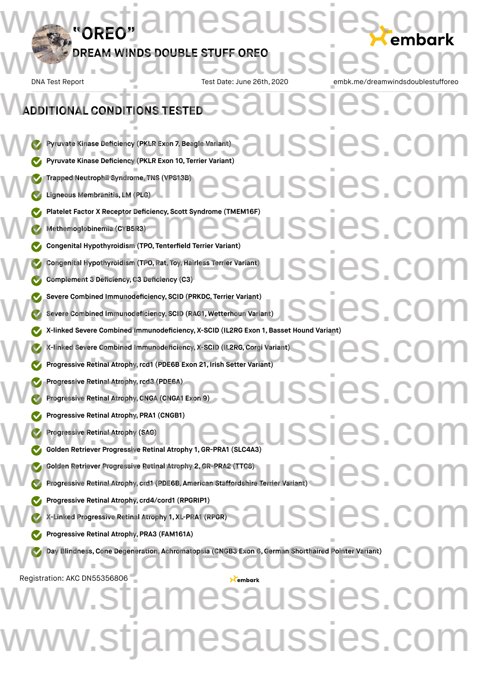DNA Test Report Test Date: June 26th, 2020 embk.me/dreamwindsdoublestufforeously

**Pyruvate Kinase Deficiency (PKLR Exon 7,Beagle Variant) Pyruvate Kinase Deficiency (PKLR Exon 10, Terrier Variant) Trapped Neutrophil Syndrome, TNS (VPS13B) Ligneous Membranitis, LM (PLG) Platelet Factor X Receptor Deficiency, Scott Syndrome (TMEM16F) Methemoglobinemia (CYB5R3) Congenital Hypothyroidism (TPO, Tenterfield Terrier Variant) Congenital Hypothyroidism (TPO, Rat, Toy,Hairless Terrier Variant) Complement 3 Deficiency,C3 Deficiency (C3) Severe Combined Immunodeficiency, SCID (PRKDC, Terrier Variant) Severe Combined Immunodeficiency, SCID (RAG1, Wetterhoun Variant) X-linked Severe Combined Immunodeficiency, X-SCID (IL2RG Exon 1, Basset Hound Variant) X-linked Severe Combined Immunodeficiency, X-SCID (IL2RG,Corgi Variant) Progressive Retinal Atrophy,rcd1 (PDE6B Exon 21, Irish Setter Variant) Progressive Retinal Atrophy,rcd3 (PDE6A) Progressive Retinal Atrophy,CNGA (CNGA1 Exon 9) Progressive Retinal Atrophy, PRA1 (CNGB1) Progressive Retinal Atrophy (SAG) Golden Retriever Progressive Retinal Atrophy 1, GR-PRA1 (SLC4A3) Golden Retriever Progressive Retinal Atrophy 2,GR-PRA2 (TTC8) Progressive Retinal Atrophy, crd1 (PDE6B, American Staffordshire Terrier Variant) Progressive Retinal Atrophy, crd4/cord1 (RPGRIP1) X-Linked Progressive Retinal Atrophy 1, XL-PRA1 (RPGR) Progressive Retinal Atrophy, PRA3 (FAM161A) Day Blindness,Cone Degeneration, Achromatopsia (CNGB3 Exon 6,German Shorthaired Pointer Variant)** Registration: AKC DN55356806 **ADDITIONAL CONDITIONS TESTED** ADDITIONAL CONDITIONS TESTED<br>ADDITIONAL CONDITIONS TESTED SSIeS.co USSIES.C USSIES.C ssies.c Severe Combined Immunodeficiency, SCID (PRKDC, Terrier Variant)<br>Severe Combined Immunodeficiency, SCID (RAG1, Wetterhoun Variant)<br>With the combined in the computation of the computation of the computation of the computatio X-linked Severe Combined Immunodeficiency, X-SCID (IL2RG Exon 1, Basset Hound Variant)<br>With International Immunodeficiency, X-SCID (IL2RG, Corgi Variant)<br>Progressive Retinal Atrophy, rcd1 (PDE6B Exon 21, Irish Setter Varia SSIeS. SSICS.CO Golden Retriever Progressive Retinal Atrophy 2, GR-PRA2 (TTC8)<br>Comparison Retinal Atrophy, crd1 (PDE6B, American Staffordshire Terrier Variant) ISSIES.CO Day Blindness, Cone Degeneration, Achromatopsia (CNGB3 Exon 6, German Shorthaired Pointer Variant) amesaussies.c

w.stjamesaussies.com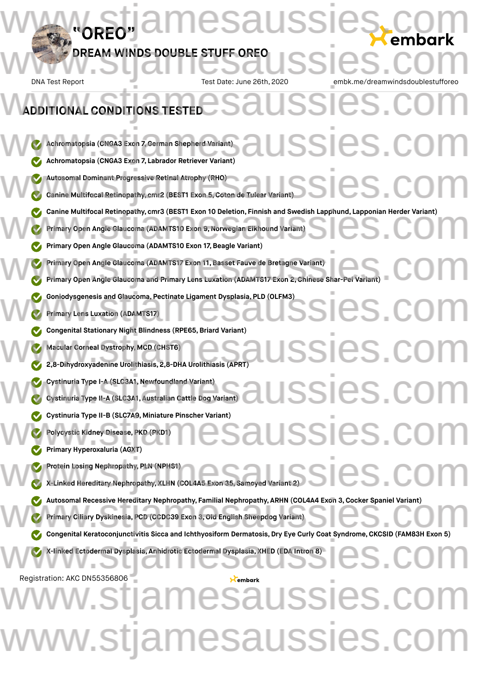DNA Test Report Test Date: June 26th, 2020 embk.me/dreamwindsdoublestuffored

### **Achromatopsia (CNGA3 Exon 7,German Shepherd Variant) Achromatopsia (CNGA3 Exon 7, Labrador Retriever Variant) Autosomal Dominant Progressive Retinal Atrophy (RHO) Canine Multifocal Retinopathy, cmr2 (BEST1 Exon 5,Coton de Tulear Variant) Canine** Multifocal Retinopathy, cmr3 (BEST1 Exon 10 Deletion, Finnish and Swedish Lapphund, Lapponian Herder Variant)<br>
We Primary Open Angle Glaucoma (ADAMTS10 Exon 9, Norwegian Elkhound Variant)<br>
We Primary Open Angle Gl **Primary Open Angle Glaucoma (ADAMTS10 Exon 9,Norwegian Elkhound Variant) Primary Open Angle Glaucoma (ADAMTS10 Exon 17, Beagle Variant) Primary Open Angle Glaucoma (ADAMTS17 Exon 11,Basset Fauve de Bretagne Variant) Primary Open Angle Glaucoma** (ADAMTS17 Exon 11, Basset Fauve de Bretagne Variant)<br>
www.stiamesaussies.com<br>
www.stjamesaussies.com<br>
www.stjamesaussies.com<br>
www.stjamesaussies.com<br>
www.stjamesaussies.com<br>
www.stjamesaussies **Goniodysgenesis and Glaucoma, Pectinate Ligament Dysplasia, PLD (OLFM3)**<br>
www.stjamesaussies.com/www.stjamesaussies.com/www.stjamesaussies.com/www.stjamesaussies.com/www.stjamesaussies.com/www.stjamesaussies.com/www.stjam **Primary Lens Luxation (ADAMTS17) Congenital Stationary Night Blindness (RPE65,Briard Variant) Macular Corneal Dystrophy, MCD (CHST6) 2,8-Dihydroxyadenine Urolithiasis, 2,8-DHA Urolithiasis (APRT) Cystinuria Type I-A (SLC3A1,Newfoundland Variant) Cystinuria Type II-A (SLC3A1, Australian Cattle Dog Variant) Cystinuria Type II-B (SLC7A9, Miniature Pinscher Variant) Polycystic Kidney Disease, PKD (PKD1) Primary Hyperoxaluria (AGXT) Protein Losing Nephropathy, PLN (NPHS1) X-Linked Hereditary Nephropathy, XLHN (COL4A5 Exon 35, Samoyed Variant 2)** Autosomal Recessive Hereditary Nephropathy, Familial Nephropathy, ARHN (COL4A4 Exon 3, Cocker Spaniel Variant)<br>
We Primary Ciliary Dyskinesia, PCD (CCDC39 Exon 3, Old English Sheepdog Variant)<br>
We Concentral Keratoconiunct **Primary Ciliary Dyskinesia, PCD (CCDC39 Exon 3,Old English Sheepdog Variant) Congenital Keratoconjunctivitis Sicca and Ichthyosiform Dermatosis, Dry Eye Curly Coat Syndrome, CKCSID (FAM83H Exon 5) X-linked Ectodermal Dysplasia, Anhidrotic Ectodermal Dysplasia, XHED (EDA Intron 8)** Registration: AKC DN55356806 **ADDITIONAL CONDITIONS TESTED** ADDITIONAL CONDITIONS TESTED<br>ADDITIONAL CONDITIONS TESTED SSI<del>C</del>S.co Autosomal Dominant Progressive Retinal Atrophy (RHO)<br>Canine Multifocal Retinopathy, cmr2 (BEST1 Exon 5, Coton de Tulear Variant)<br>Canine Multifocal Retinopathy, cmr2 (BEST1 Exon 5, Coton de Tulear Variant)<br>Canine Multifocal ssies.co SSIES.C **ussies.com** Protein Losing Nephropathy, PLN (NPHS1)<br>With Linked Hereditary Nephropathy, XLHN (COL4A5 Exon 35, Samoyed Variant 2)<br>With Linked Hereditary Nephropathy, XLHN (COL4A5 Exon 35, Samoyed Variant 2) We defined Ectodermal Dysplasia, Anhidrotic Ectodermal Dysplasia, XHED (EDA Intron 8) amesaussies. ww.stjamesaussies.co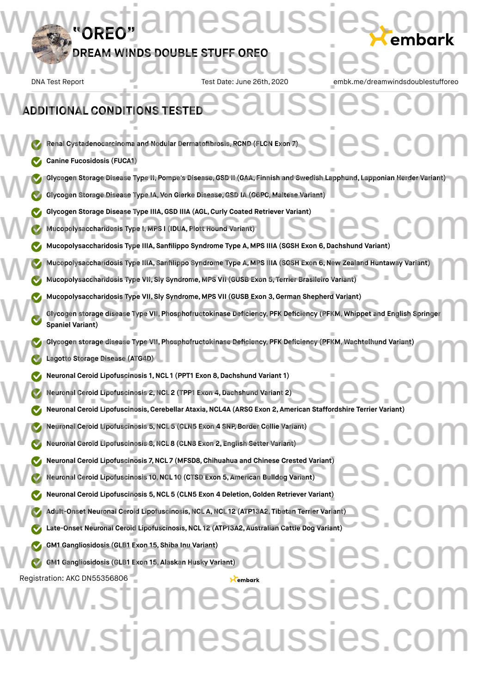### **"OREO" DREAM WINDS DOUBLE STUFF OREO** DNA Test Report Test Date: June 26th, 2020 embk.me/dreamwindsdoublestuffored **Renal Cystadenocarcinoma and Nodular Dermatofibrosis, RCND (FLCN Exon 7) Canine Fucosidosis (FUCA1) Glycogen Storage Disease Type II, Pompe's Disease,GSD II (GAA, Finnish and Swedish Lapphund, Lapponian Herder Variant) Glycogen Storage Disease Type IA, Von Gierke Disease,GSD IA (G6PC, Maltese Variant) ADDITIONAL CONDITIONS TESTED** www.stjamesaussies.com DREAM WINDS DOUBLE STUFF OREO USSIES.COM ADDITIONAL CONDITIONS TESTED<br>ADDITIONAL CONDITIONS TESTED Weinal Cystadenocarcinoma and Nodular Dermatofibrosis, RCND (FLCN Exon 7)<br>Canine Fucosidosis (FUCA1) Glycogen Storage Disease Type II, Pompe's Disease, GSD II (GAA, Finnish and Swedish Lapphund, Lapponian Herder Variant)<br>Composed Storage Disease Type IA, Von Gierke Disease, GSD IA (G6PC, Maltese Variant)

Glycogen Storage Disease Type IIIA, GSD IIIA (AGL, Curly Coated Retriever Variant)<br>
Www.storage.com/www.stridosis.com/www.stridosis.com/www.stridosis.com/www.stridosis.com/www.stridosis.com/www.stridosis.com/www.stridosis.

**Mucopolysaccharidosis Type I, MPS I (IDUA, Plott Hound Variant)**

- **Mucopolysaccharidosis Type IIIA, Sanfilippo Syndrome Type A, MPS IIIA (SGSH Exon 6,Dachshund Variant)**
- **Mucopolysaccharidosis Type IIIA, Sanfilippo Syndrome Type A, MPS IIIA (SGSH Exon 6,New Zealand Huntaway Variant)** Mucopolysaccharidosis Type IIIA, Sanfilippo Syndrome Type A, MPS IIIA (SGSH Exon 6, New Zealand Huntaway Variant)<br>Mucopolysaccharidosis Type VII, Sly Syndrome, MPS VII (GUSB Exon 5, Terrier Brasileiro Variant)
	- **Mucopolysaccharidosis Type VII, Sly Syndrome, MPS VII (GUSB Exon 5, Terrier Brasileiro Variant)**
	- **Mucopolysaccharidosis Type VII, Sly Syndrome, MPS VII (GUSB Exon 3,German Shepherd Variant)**
- **Glycogen storage disease Type VII, Phosphofructokinase Deficiency, PFK Deficiency (PFKM, Whippet and English Springer Spaniel Variant)** Mucopolysaccharidosis Type VII, Sly Syndrome, MPS VII (GUSB Exon 3, German Shepherd Variant)<br>Glycogen storage disease Type VII, Phosphofructokinase Deficiency, PFK Deficiency (PFKM, Whippet and English Springer<br>Spaniel Var
- **Glycogen storage disease Type VII, Phosphofructokinase Deficiency, PFK Deficiency (PFKM, Wachtelhund Variant)** Glycogen storage disease Type VII, Phosphofructokinase Deficiency, PFK Deficiency (PFKM, Wachtelhund Variant)
	- **Lagotto Storage Disease (ATG4D)**
	- **Neuronal Ceroid Lipofuscinosis 1,NCL 1 (PPT1 Exon 8,Dachshund Variant 1)**
	- **Neuronal Ceroid Lipofuscinosis 2,NCL 2 (TPP1 Exon 4,Dachshund Variant 2)**
- Neuronal Ceroid Lipofuscinosis 1, NCL 1 (PPT1 Exon 8, Dachshund Variant 1)<br>
Weuronal Ceroid Lipofuscinosis, Cerebellar Ataxia, NCL4A (ARSG Exon 2, American Staffordshire Terrier Variant)
	- **Neuronal Ceroid Lipofuscinosis 5,NCL 5 (CLN5 Exon 4 SNP, Border Collie Variant)**
- **Neuronal Ceroid Lipofuscinosis 5, NCL 5** (CLN8 **Exon 4** SNP, Border Collie Variant)<br>
We Neuronal Ceroid Lipofuscinosis 8, NCL 8 (CLN8 Exon 2, English Setter Variant)<br>
We Neuronal Ceroid Lipofuscinosis 8, NCL 8 (CLN8 Exo
- Neuronal Ceroid Lipofuscinosis 7, NCL 7 (MFSD8, Chihuahua and Chinese Crested Variant)<br>
Weuronal Ceroid Lipofuscinosis 10, NCL 10 (CTSD Exon 5, American Bulldog Variant)<br>
www.stjamesaussies.com & NOL 5 (CLNE Exon 4 Delatio **Neuronal Ceroid Lipofuscinosis 10,NCL 10 (CTSD Exon 5, American Bulldog Variant)**
	- **Neuronal Ceroid Lipofuscinosis 5,NCL 5 (CLN5 Exon 4 Deletion,Golden Retriever Variant)**
- **Adult-Onset Neuronal Ceroid Lipofuscinosis,NCL A,NCL 12 (ATP13A2, Tibetan Terrier Variant) Late-Onset Neuronal Ceroid Lipofuscinosis,NCL 12 (ATP13A2, Australian Cattle Dog Variant)** Meuronal Ceroid Lipofuscinosis 5, NCL 5 (CLN5 Exon 4 Deletion, Golden Retriever variant)<br>Madult-Onset Neuronal Ceroid Lipofuscinosis, NCL 12 (ATP13A2, Tibetan Terrier Variant)<br>Mate-Onset Neuronal Ceroid Lipofuscinosis, NCL
- **GM1 Gangliosidosis (GLB1 Exon 15, Shiba Inu Variant)** WE GM1 Gangliosidosis (GLB1 Exon 15, Shiba Inu Variant)<br>WE GM1 Gangliosidosis (GLB1 Exon 15, Alaskan Husky Variant)<br>WE GM1 Gangliosidosis (GLB1 Exon 15, Alaskan Husky Variant)
	- **GM1 Gangliosidosis (GLB1 Exon 15, Alaskan Husky Variant)**

# Registration: AKC DN55356806 **Saussies.com** ww.stjamesaussies.co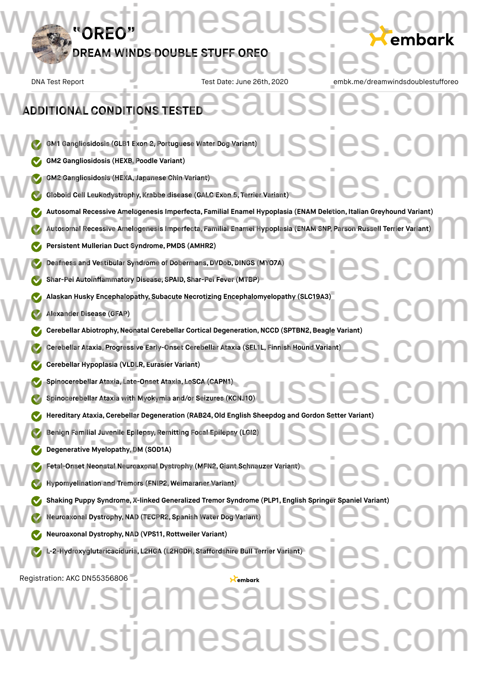### **"OREO" DREAM WINDS DOUBLE STUFF OREO** DNA Test Report Test Date: June 26th, 2020 embk.me/dreamwindsdoublestuffored **GM1 Gangliosidosis (GLB1 Exon 2, Portuguese Water Dog Variant) GM2 Gangliosidosis (HEXB, Poodle Variant) GM2 Gangliosidosis (HEXA, Japanese Chin Variant) Globoid Cell Leukodystrophy, Krabbe disease (GALC Exon 5, Terrier Variant)** Autosomal Recessive Amelogenesis Imperfecta, Familial Enamel Hypoplasia (ENAM Deletion, Italian Greyhound Variant)<br>Autosomal Recessive Amelogenesis Imperfecta, Familial Enamel Hypoplasia (ENAM SNP, Parson Russell Terrier V **Autosomal Recessive Amelogenesis Imperfecta, Familial Enamel Hypoplasia (ENAM SNP, Parson Russell Terrier Variant) Persistent Mullerian Duct Syndrome, PMDS (AMHR2) Deafness and Vestibular Syndrome of Dobermans, DVDob,DINGS (MYO7A) Shar-Pei Autoinflammatory Disease, SPAID, Shar-Pei Fever (MTBP) Alaskan Husky Encephalopathy, Subacute Necrotizing Encephalomyelopathy (SLC19A3)**<br>
We Alexander Disease (GFAP)<br>
We also have also have also have also have also have also have also have also have also have also have also h **Alexander Disease (GFAP) Cerebellar Abiotrophy,Neonatal Cerebellar Cortical Degeneration,NCCD (SPTBN2,Beagle Variant) Cerebellar Ataxia, Progressive Early-Onset Cerebellar Ataxia (SEL1L, Finnish Hound Variant) Cerebellar Hypoplasia (VLDLR, Eurasier Variant) Spinocerebellar Ataxia, Late-Onset Ataxia, LoSCA (CAPN1) Spinocerebellar Ataxia with Myokymia and/or Seizures (KCNJ10) Hereditary Ataxia, Cerebellar Degeneration (RAB24, Old English Sheepdog and Gordon Setter Variant)**<br>
We Benign Familial Juvenile Epilepsy, Remitting Focal Epilepsy (LGI2)<br>
We Degenerative Myelopathy, DM (SOD1A) **Benign Familial Juvenile Epilepsy, Remitting Focal Epilepsy (LGI2) Degenerative Myelopathy,DM (SOD1A) Fetal-Onset Neonatal Neuroaxonal Dystrophy (MFN2,Giant Schnauzer Variant) Hypomyelination and Tremors (FNIP2, Weimaraner Variant)** Shaking Puppy Syndrome, X-linked Generalized Tremor Syndrome (PLP1, English Springer Spaniel Variant)<br>
Weuroaxonal Dystrophy, NAD (TECPR2, Spanish Water Dog Variant)<br>
Weuroaxonal Dystrophy, NAD (VPS11, Bottweiler Variant) **Neuroaxonal Dystrophy,NAD (TECPR2, Spanish Water Dog Variant) Neuroaxonal Dystrophy,NAD (VPS11, Rottweiler Variant) L-2-Hydroxyglutaricaciduria, L2HGA (L2HGDH, Staffordshire Bull Terrier Variant)** Registration: AKC DN55356806 **ADDITIONAL CONDITIONS TESTED** esaussies.com DREAM WINDS DOUBLE STUFF OREO USSIES.COM ADDITIONAL CONDITIONS TESTED<br>ADDITIONAL CONDITIONS TESTED SSIES.C GM2 Gangliosidosis (HEXA, Japanese Chin Variant)<br>C Globoid Cell Leukodystrophy, Krabbe disease (GALC Exon 5, Terrier Variant)<br>C GM2 Globoid Cell Leukodystrophy, Krabbe disease (GALC Exon 5, Terrier Variant) Deafness and Vestibular Syndrome of Dobermans, DVDob, DINGS (MYO7A)<br>
Shar-Pei Autoinflammatory Disease, SPAID, Shar-Pei Fever (MTBP) Cerebellar Abiotrophy, Neonatal Cerebellar Cortical Degeneration, NCCD (SPTBN2, Beagle Variant)<br>Cerebellar Ataxia, Progressive Early-Onset Cerebellar Ataxia (SEL1L, Finnish Hound Variant)<br>Cerebellar Hypoplasia (VLDLR, Eura Spinocerebellar Ataxia, Late-Onset Ataxia, LoSCA (CAPN1)<br>
SSIES COM Fetal-Onset Neonatal Neuroaxonal Dystrophy (MFN2, Giant Schnauzer Variant)<br>Explorary Hypomyelination and Tremors (ENIP2, Weimaraner Variant) L-2-Hydroxyglutaricaciduria, L2HGA (L2HGDH, Staffordshire Bull Terrier Variant)<br>
SICS COM amesaussies. ww.stjamesaussies.co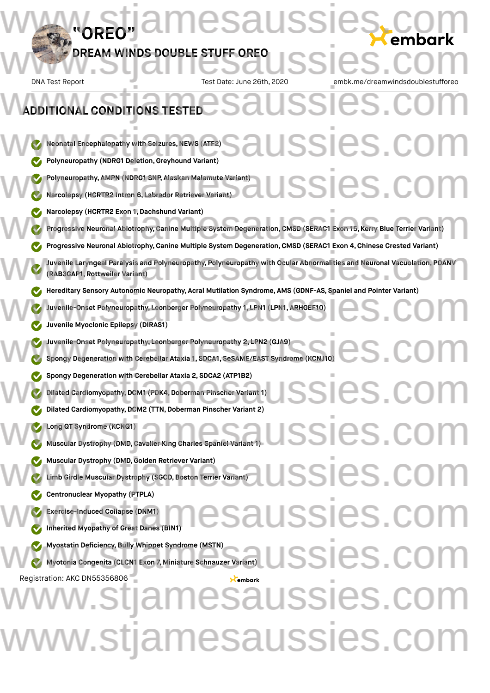DNA Test Report Test Date: June 26th, 2020 embk.me/dreamwindsdoublestuffored

### **Neonatal Encephalopathy with Seizures, NEWS (ATF2) Polyneuropathy (NDRG1 Deletion,Greyhound Variant) Polyneuropathy, AMPN (NDRG1 SNP, Alaskan Malamute Variant) Narcolepsy (HCRTR2 Intron 6, Labrador Retriever Variant) Narcolepsy (HCRTR2 Exon 1,Dachshund Variant) Progressive Neuronal Abiotrophy,Canine Multiple System Degeneration,CMSD (SERAC1 Exon 15, Kerry Blue Terrier Variant) Progressive Neuronal Abiotrophy,Canine Multiple System Degeneration,CMSD (SERAC1 Exon 4, Chinese Crested Variant) Juvenile Laryngeal Paralysis and Polyneuropathy, Polyneuropathy with Ocular Abnormalities and Neuronal Vacuolation, POANV (RAB3GAP1, Rottweiler Variant) Hereditary Sensory Autonomic Neuropathy, Acral Mutilation Syndrome, AMS (GDNF-AS, Spaniel and Pointer Variant) Juvenile-Onset Polyneuropathy, Leonberger Polyneuropathy 1, LPN1 (LPN1, ARHGEF10) Juvenile Myoclonic Epilepsy (DIRAS1) Juvenile-Onset Polyneuropathy, Leonberger Polyneuropathy 2, LPN2 (GJA9) Spongy Degeneration with Cerebellar Ataxia 1, SDCA1, SeSAME/EAST Syndrome (KCNJ10) Spongy Degeneration with Cerebellar Ataxia 2, SDCA2 (ATP1B2) Dilated Cardiomyopathy,DCM1 (PDK4,Doberman Pinscher Variant 1) Dilated Cardiomyopathy, DCM2 (TTN, Doberman Pinscher Variant 2) Long QT Syndrome (KCNQ1) Muscular Dystrophy (DMD,Cavalier King Charles Spaniel Variant 1) Muscular Dystrophy (DMD,Golden Retriever Variant) Limb** Girdle Muscular Dystrophy (SGCD, Boston Terrier Variant) **Centronuclear Myopathy (PTPLA) Exercise-Induced Collapse (DNM1) Inherited Myopathy of Great Danes (BIN1) Myostatin Deficiency,Bully Whippet Syndrome (MSTN) Myotonia Congenita (CLCN1 Exon 7, Miniature Schnauzer Variant)** Registration: AKC DN55356806 **ADDITIONAL CONDITIONS TESTED** ADDITIONAL CONDITIONS TESTED<br>ADDITIONAL CONDITIONS TESTED SSICS.C **ISSIES.C** W Narcolepsy (HCRTR2 Exon 1, Dachshund Variant)<br>Progressive Neuronal Abiotrophy, Canine Multiple System Degeneration, CMSD (SERAC1 Exon 15, Kerry Blue Terrier Variant) Juvenile Laryngeal Paralysis and Polyneuropathy, Polyneuropathy with Ocular Abnormalities and Neuronal Vacuolation, POANV<br>(RAB3GAP1, Rottweiler Variant) Mereditary Sensory Autonomic Neuropathy, Acral Mutilation Syndrome, AMS (GDNF-AS, Spaniel and Pointer Variant)<br>Juvenile-Onset Polyneuropathy, Leonberger Polyneuropathy 1, LPN1 (LPN1, ARHGEF10)<br>Juvenile Myoclonic Epilepsy ( Juvenile-Onset Polyneuropathy, Leonberger Polyneuropathy 2, LPN2 (GJA9)<br>Spongy Degeneration with Cerebellar Ataxia 1, SDCA1, SeSAME/EAST Syndrome (KCNJ10) Spongy Degeneration with Cerebellar Ataxia 2, SDCA2 (ATP1B2)<br>Dilated Cardiomyopathy, DCM1 (PDK4, Doberman Pinscher Variant 1)<br>Collated Cardiomyopathy, DCM2 (TTN, Doberman Pinscher Variant 2) SSICS.C SSIES.C ussies.co  $\sum_{\mathbf{X}\text{r} \text{imbar} \mathbf{X}}\bigcup \text{SSIES}$ lussies. w.stjamesaussies.com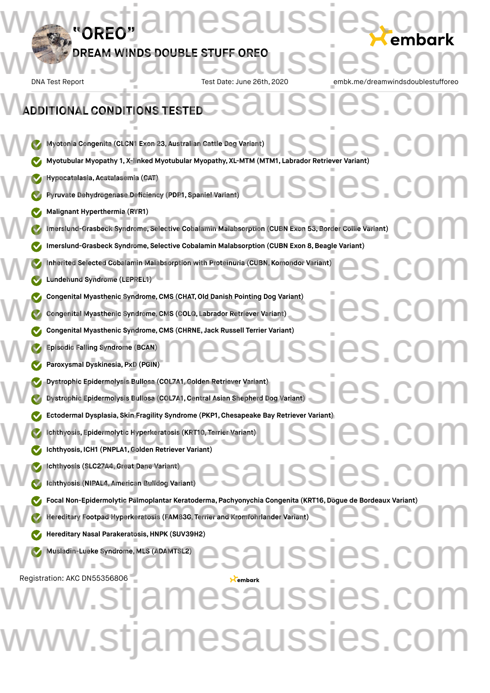### **"OREO" DREAM WINDS DOUBLE STUFF OREO** DNA Test Report Test Date: June 26th, 2020 embk.me/dreamwindsdoublestuffored **Myotonia Congenita (CLCN1 Exon 23, Australian Cattle Dog Variant) Myotonia Congenita (CLCN1 Exon 23, Australian Cattle Dog Variant)**<br>
Www.stjamesaussies.com Myopathy 1, X-linked Myotubular Myopathy, XL-MTM (MTM1, Labrador Retriever Variant) **Hypocatalasia, Acatalasemia (CAT) Pyruvate Dehydrogenase Deficiency (PDP1, Spaniel Variant) Malignant Hyperthermia (RYR1) Imerslund-Grasbeck Syndrome, Selective Cobalamin Malabsorption (CUBN Exon 53,Border Collie Variant) Imerslund-Grasbeck Syndrome, Selective Cobalamin Malabsorption (CUBN Exon 8,Beagle Variant) Inherited Selected Cobalamin Malabsorption with Proteinuria (CUBN, Komondor Variant) Lundehund Syndrome (LEPREL1) Congenital Myasthenic Syndrome, CMS (CHAT, Old Danish Pointing Dog Variant)**<br>
Congenital Myasthenic Syndrome, CMS (COLO, Labrador Retriever Variant)<br>
en Color (Color Labrador Retriever Variant)<br>
and Color Color (Color Lab **Congenital Myasthenic Syndrome,CMS (COLQ, Labrador Retriever Variant) Congenital Myasthenic Syndrome,CMS (CHRNE, Jack Russell Terrier Variant) Episodic Falling Syndrome (BCAN) Paroxysmal Dyskinesia, PxD (PGIN) Dystrophic Epidermolysis Bullosa (COL7A1,Golden Retriever Variant) Dystrophic Epidermolysis Bullosa (COL7A1,Central Asian Shepherd Dog Variant) Ectodermal Dysplasia, Skin Fragility Syndrome (PKP1, Chesapeake Bay Retriever Variant)<br>
www.stiamesaussies.com<br>
www.stjamesaussies.com<br>
www.stjamesaussies.com<br>
www.stjamesaussies.com<br>
www.stjamesaussies.com<br>
www.stjamesau Ichthyosis, Epidermolytic Hyperkeratosis (KRT10, Terrier Variant) Ichthyosis, ICH1 (PNPLA1,Golden Retriever Variant) Ichthyosis (SLC27A4,Great Dane Variant) Ichthyosis (NIPAL4, American Bulldog Variant) Focal Non-Epidermolytic Palmoplantar Keratoderma, Pachyonychia Congenita (KRT16, Dogue de Bordeaux Variant)<br>
www.stereditary Footpad Hyperkeratosis (FAM83G, Terrier and Kromfohrlander Variant)<br>
www.stjamesaussies.com Para Hereditary Footpad Hyperkeratosis (FAM83G, Terrier and Kromfohrlander Variant) Hereditary Nasal Parakeratosis,HNPK (SUV39H2) Musladin-Lueke Syndrome, MLS (ADAMTSL2)** Registration: AKC DN55356806 **ADDITIONAL CONDITIONS TESTED** esaussies.com DREAM WINDS DOUBLE STUFF OREO USSIES.COM ADDITIONAL CONDITIONS TESTED<br>ADDITIONAL CONDITIONS TESTED lssies We Malignant Hyperthermia (RYR1)<br>Imerslund-Grasbeck Syndrome, Selective Cobalamin Malabsorption (CUBN Exon 53, Border Collie Variant)<br>We Imerslund-Grasbeck Syndrome, Selective Cobalamin Malabsorption (CUBN Exon 8, Beagle V Inherited Selected Cobalamin Malabsorption with Proteinuria (CUBN, Komondor Variant)<br>Lundehund Syndrome (LEPREL1) USSIES.CO Dystrophic Epidermolysis Bullosa (COL7A1, Golden Retriever Variant)<br>
Dystrophic Epidermolysis Bullosa (COL7A1, Central Asian Shepherd Dog Variant)<br>
Discrete Sand Color Discrete Discrete Dog Variant) We lehthyosis (SLC27A4, Great Dane Variant)<br>
C Ichthyosis (NIPAL4, American Bulldog Variant)<br>
CSAUSSIES. COM Saussies. nesaussies.c ww.stjamesaussies.co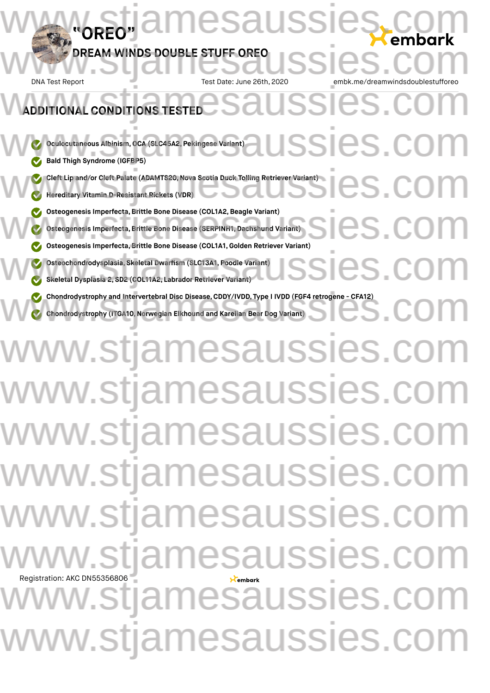# **"OREO" DREAM WINDS DOUBLE STUFF OREO** DNA Test Report Test Date: June 26th, **Oculocutaneous Albinism,OCA (SLC45A2, Pekingese Variant) Bald Thigh Syndrome (IGFBP5) Cleft Lip and/or Cleft Palate (ADAMTS20,Nova Scotia Duck Tolling Retriever Variant) Hereditary Vitamin D-Resistant Rickets (VDR) Osteogenesis Imperfecta,Brittle Bone Disease (COL1A2,Beagle Variant) Osteogenesis Imperfecta,Brittle Bone Disease (SERPINH1, Dachshund Variant) Osteogenesis Imperfecta, Brittle Bone Disease (COL1A1, Golden Retriever Osteochondrodysplasia, Skeletal Dwarfism (SLC13A1, Poodle Variant) Skeletal Dysplasia 2, SD2 (COL11A2, Labrador Retriever Variant) Chondrodystrophy and Intervertebral Disc Disease, CDDY/IVDD, Type I IVDD (FGF4 retrogene - CFA12)<br>
Chondrodystrophy (ITGA10, Norwegian Elkhound and Karelian Bear Dog Variant) Chondrodystrophy (ITGA10,Norwegian Elkhound and Karelian Bear Dog Variant) DN55356806 ONAL CONDITIONS TESTED** esaussi DREAM WINDS DOUBLE STUFF OREO USSIES.COM SSIes.co We Oculocutaneous Albinism, OCA (SLC45A2, Pekingese Variant)<br>
We Bald Thigh Syndrome (IGFBP5) Cleft Lip and/or Cleft Palate (ADAMTS20, Nova Scotia Duck Tolling Retriever Variant)<br>Nereditary Vitamin D-Resistant Rickets (VDR) Osteogenesis Imperfecta, Brittle Bone Disease (COL1A2, Beagle Variant)<br>
Osteogenesis Imperfecta, Brittle Bone Disease (SERPINH1, Dachshund Variant)<br>
Osteogenesis Imperfecta Brittle Bone Disease (COL1A1, Golden Petriever Va Steechondrodysplasia, Skeletal Dwarfism (SLC13A1, Poodle Variant)<br>Steechondrodysplasia 2, SD2 (COL11A2, Labrador Retriever Variant) www.stjamesaussies.co www.stjamesaussies.co www.stjamesaussies.co ww.stjamesaussies.co ww.stjamesaussies.co v.stjamesaussies.co v.stjamesaussies.co w.stjamesaussies.com